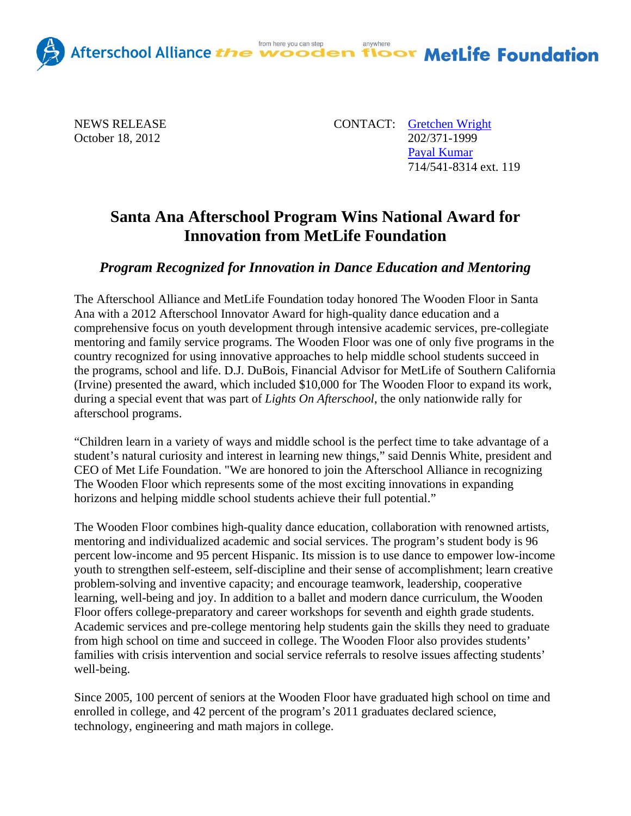

NEWS RELEASE CONTACT: Gretchen Wright October 18, 2012 202/371-1999 Payal Kumar 714/541-8314 ext. 119

## **Santa Ana Afterschool Program Wins National Award for Innovation from MetLife Foundation**

*Program Recognized for Innovation in Dance Education and Mentoring* 

The Afterschool Alliance and MetLife Foundation today honored The Wooden Floor in Santa Ana with a 2012 Afterschool Innovator Award for high-quality dance education and a comprehensive focus on youth development through intensive academic services, pre-collegiate mentoring and family service programs. The Wooden Floor was one of only five programs in the country recognized for using innovative approaches to help middle school students succeed in the programs, school and life. D.J. DuBois, Financial Advisor for MetLife of Southern California (Irvine) presented the award, which included \$10,000 for The Wooden Floor to expand its work, during a special event that was part of *Lights On Afterschool*, the only nationwide rally for afterschool programs.

"Children learn in a variety of ways and middle school is the perfect time to take advantage of a student's natural curiosity and interest in learning new things," said Dennis White, president and CEO of Met Life Foundation. "We are honored to join the Afterschool Alliance in recognizing The Wooden Floor which represents some of the most exciting innovations in expanding horizons and helping middle school students achieve their full potential."

The Wooden Floor combines high-quality dance education, collaboration with renowned artists, mentoring and individualized academic and social services. The program's student body is 96 percent low-income and 95 percent Hispanic. Its mission is to use dance to empower low-income youth to strengthen self-esteem, self-discipline and their sense of accomplishment; learn creative problem-solving and inventive capacity; and encourage teamwork, leadership, cooperative learning, well-being and joy. In addition to a ballet and modern dance curriculum, the Wooden Floor offers college-preparatory and career workshops for seventh and eighth grade students. Academic services and pre-college mentoring help students gain the skills they need to graduate from high school on time and succeed in college. The Wooden Floor also provides students' families with crisis intervention and social service referrals to resolve issues affecting students' well-being.

Since 2005, 100 percent of seniors at the Wooden Floor have graduated high school on time and enrolled in college, and 42 percent of the program's 2011 graduates declared science, technology, engineering and math majors in college.